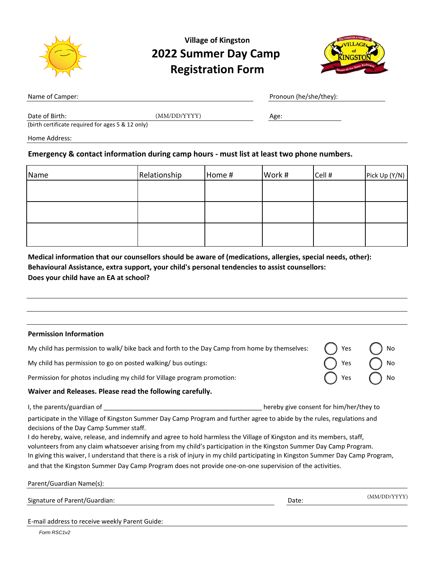

## **Village of Kingston 2022 Summer Day Camp Registration Form**



|  | Name of Camper: |
|--|-----------------|
|  |                 |

Pronoun (he/she/they):

Date of Birth:  $(MM/DD/YYYY)$  Age:

(birth certificate required for ages 5 & 12 only)

Home Address:

#### **Emergency & contact information during camp hours - must list at least two phone numbers.**

| Name | Relationship | Home # | Work # | Cell # | Pick Up (Y/N) |
|------|--------------|--------|--------|--------|---------------|
|      |              |        |        |        |               |
|      |              |        |        |        |               |
|      |              |        |        |        |               |
|      |              |        |        |        |               |
|      |              |        |        |        |               |

**Medical information that our counsellors should be aware of (medications, allergies, special needs, other): Behavioural Assistance, extra support, your child's personal tendencies to assist counsellors: Does your child have an EA at school?**

| <b>Permission Information</b>                                                                                                                                                                                                                                                                                                                                                                                                                                                                                                                                                                                                                                       |                                         |              |
|---------------------------------------------------------------------------------------------------------------------------------------------------------------------------------------------------------------------------------------------------------------------------------------------------------------------------------------------------------------------------------------------------------------------------------------------------------------------------------------------------------------------------------------------------------------------------------------------------------------------------------------------------------------------|-----------------------------------------|--------------|
| My child has permission to walk/ bike back and forth to the Day Camp from home by themselves:                                                                                                                                                                                                                                                                                                                                                                                                                                                                                                                                                                       |                                         | Yes          |
| My child has permission to go on posted walking/ bus outings:                                                                                                                                                                                                                                                                                                                                                                                                                                                                                                                                                                                                       |                                         | Yes          |
| Permission for photos including my child for Village program promotion:                                                                                                                                                                                                                                                                                                                                                                                                                                                                                                                                                                                             |                                         | Yes          |
| Waiver and Releases. Please read the following carefully.                                                                                                                                                                                                                                                                                                                                                                                                                                                                                                                                                                                                           |                                         |              |
|                                                                                                                                                                                                                                                                                                                                                                                                                                                                                                                                                                                                                                                                     | hereby give consent for him/her/they to |              |
| participate in the Village of Kingston Summer Day Camp Program and further agree to abide by the rules, regulations and<br>decisions of the Day Camp Summer staff.<br>I do hereby, waive, release, and indemnify and agree to hold harmless the Village of Kingston and its members, staff,<br>volunteers from any claim whatsoever arising from my child's participation in the Kingston Summer Day Camp Program.<br>In giving this waiver, I understand that there is a risk of injury in my child participating in Kingston Summer Day Camp Program,<br>and that the Kingston Summer Day Camp Program does not provide one-on-one supervision of the activities. |                                         |              |
| Parent/Guardian Name(s):                                                                                                                                                                                                                                                                                                                                                                                                                                                                                                                                                                                                                                            |                                         |              |
| Signature of Parent/Guardian:                                                                                                                                                                                                                                                                                                                                                                                                                                                                                                                                                                                                                                       | Date:                                   | (MM/DD/YYYY) |

E-mail address to receive weekly Parent Guide: